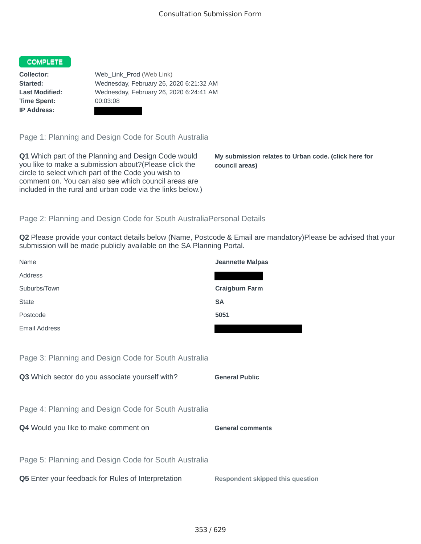## COMPLETE

**Time Spent:** 00:03:08 **IP Address:**

**Collector:** Web\_Link\_Prod (Web Link) **Started:** Wednesday, February 26, 2020 6:21:32 AM **Last Modified:** Wednesday, February 26, 2020 6:24:41 AM

Page 1: Planning and Design Code for South Australia

**Q1** Which part of the Planning and Design Code would you like to make a submission about?(Please click the circle to select which part of the Code you wish to comment on. You can also see which council areas are included in the rural and urban code via the links below.)

**My submission relates to Urban code. (click here for council areas)**

## Page 2: Planning and Design Code for South AustraliaPersonal Details

**Q2** Please provide your contact details below (Name, Postcode & Email are mandatory)Please be advised that your submission will be made publicly available on the SA Planning Portal.

| Name                                                 | <b>Jeannette Malpas</b>                 |
|------------------------------------------------------|-----------------------------------------|
| Address                                              |                                         |
| Suburbs/Town                                         | <b>Craigburn Farm</b>                   |
| <b>State</b>                                         | <b>SA</b>                               |
| Postcode                                             | 5051                                    |
| <b>Email Address</b>                                 |                                         |
|                                                      |                                         |
| Page 3: Planning and Design Code for South Australia |                                         |
| Q3 Which sector do you associate yourself with?      | <b>General Public</b>                   |
|                                                      |                                         |
| Page 4: Planning and Design Code for South Australia |                                         |
| Q4 Would you like to make comment on                 | <b>General comments</b>                 |
|                                                      |                                         |
| Page 5: Planning and Design Code for South Australia |                                         |
| Q5 Enter your feedback for Rules of Interpretation   | <b>Respondent skipped this question</b> |
|                                                      |                                         |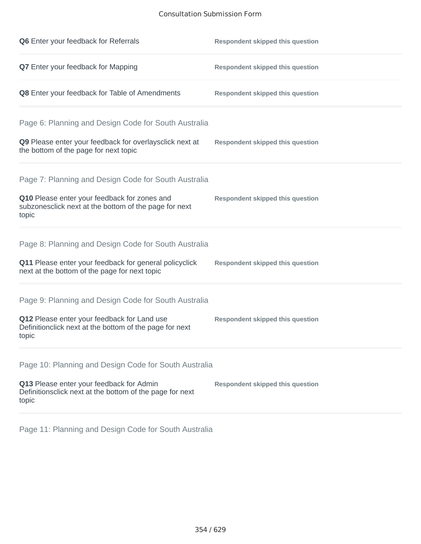## Consultation Submission Form

| Q6 Enter your feedback for Referrals                                                                            | <b>Respondent skipped this question</b> |
|-----------------------------------------------------------------------------------------------------------------|-----------------------------------------|
| Q7 Enter your feedback for Mapping                                                                              | <b>Respondent skipped this question</b> |
| Q8 Enter your feedback for Table of Amendments                                                                  | <b>Respondent skipped this question</b> |
| Page 6: Planning and Design Code for South Australia                                                            |                                         |
| Q9 Please enter your feedback for overlaysclick next at<br>the bottom of the page for next topic                | <b>Respondent skipped this question</b> |
| Page 7: Planning and Design Code for South Australia                                                            |                                         |
| Q10 Please enter your feedback for zones and<br>subzonesclick next at the bottom of the page for next<br>topic  | <b>Respondent skipped this question</b> |
| Page 8: Planning and Design Code for South Australia                                                            |                                         |
| Q11 Please enter your feedback for general policyclick<br>next at the bottom of the page for next topic         | <b>Respondent skipped this question</b> |
| Page 9: Planning and Design Code for South Australia                                                            |                                         |
| Q12 Please enter your feedback for Land use<br>Definitionclick next at the bottom of the page for next<br>topic | <b>Respondent skipped this question</b> |
| Page 10: Planning and Design Code for South Australia                                                           |                                         |
| Q13 Please enter your feedback for Admin<br>Definitionsclick next at the bottom of the page for next<br>topic   | <b>Respondent skipped this question</b> |

Page 11: Planning and Design Code for South Australia